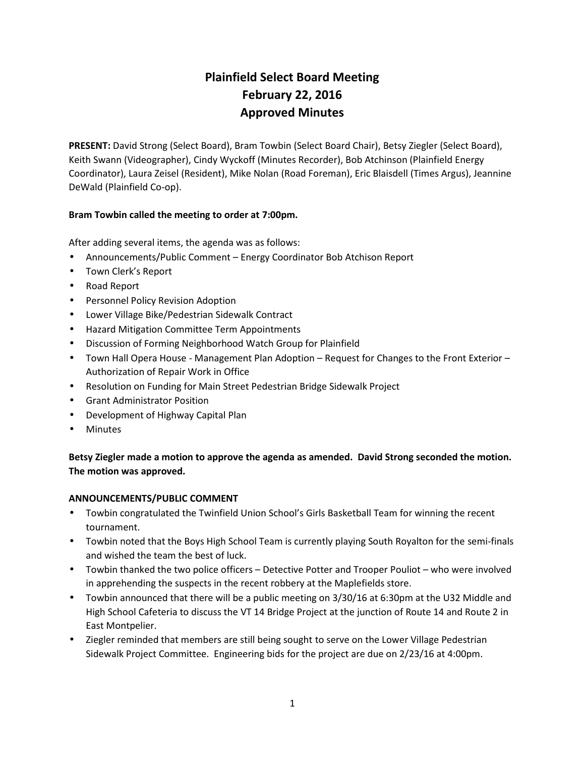# **Plainfield Select Board Meeting February 22, 2016 Approved Minutes**

**PRESENT:** David Strong (Select Board), Bram Towbin (Select Board Chair), Betsy Ziegler (Select Board), Keith Swann (Videographer), Cindy Wyckoff (Minutes Recorder), Bob Atchinson (Plainfield Energy Coordinator), Laura Zeisel (Resident), Mike Nolan (Road Foreman), Eric Blaisdell (Times Argus), Jeannine DeWald (Plainfield Co-op).

## **Bram Towbin called the meeting to order at 7:00pm.**

After adding several items, the agenda was as follows:

- Announcements/Public Comment Energy Coordinator Bob Atchison Report
- Town Clerk's Report
- Road Report
- **•** Personnel Policy Revision Adoption
- Lower Village Bike/Pedestrian Sidewalk Contract
- Hazard Mitigation Committee Term Appointments
- Discussion of Forming Neighborhood Watch Group for Plainfield
- Town Hall Opera House Management Plan Adoption Request for Changes to the Front Exterior Authorization of Repair Work in Office
- Resolution on Funding for Main Street Pedestrian Bridge Sidewalk Project
- Grant Administrator Position
- Development of Highway Capital Plan
- Minutes

# **Betsy Ziegler made a motion to approve the agenda as amended. David Strong seconded the motion. The motion was approved.**

## **ANNOUNCEMENTS/PUBLIC COMMENT**

- Towbin congratulated the Twinfield Union School's Girls Basketball Team for winning the recent tournament.
- Towbin noted that the Boys High School Team is currently playing South Royalton for the semi-finals and wished the team the best of luck.
- Towbin thanked the two police officers Detective Potter and Trooper Pouliot who were involved in apprehending the suspects in the recent robbery at the Maplefields store.
- Towbin announced that there will be a public meeting on 3/30/16 at 6:30pm at the U32 Middle and High School Cafeteria to discuss the VT 14 Bridge Project at the junction of Route 14 and Route 2 in East Montpelier.
- Ziegler reminded that members are still being sought to serve on the Lower Village Pedestrian Sidewalk Project Committee. Engineering bids for the project are due on 2/23/16 at 4:00pm.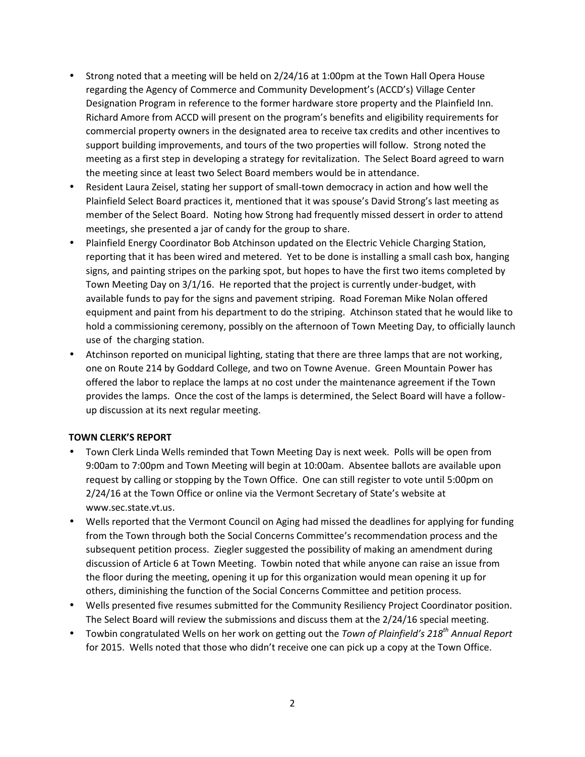- Strong noted that a meeting will be held on 2/24/16 at 1:00pm at the Town Hall Opera House regarding the Agency of Commerce and Community Development's (ACCD's) Village Center Designation Program in reference to the former hardware store property and the Plainfield Inn. Richard Amore from ACCD will present on the program's benefits and eligibility requirements for commercial property owners in the designated area to receive tax credits and other incentives to support building improvements, and tours of the two properties will follow. Strong noted the meeting as a first step in developing a strategy for revitalization. The Select Board agreed to warn the meeting since at least two Select Board members would be in attendance.
- Resident Laura Zeisel, stating her support of small-town democracy in action and how well the Plainfield Select Board practices it, mentioned that it was spouse's David Strong's last meeting as member of the Select Board. Noting how Strong had frequently missed dessert in order to attend meetings, she presented a jar of candy for the group to share.
- Plainfield Energy Coordinator Bob Atchinson updated on the Electric Vehicle Charging Station, reporting that it has been wired and metered. Yet to be done is installing a small cash box, hanging signs, and painting stripes on the parking spot, but hopes to have the first two items completed by Town Meeting Day on 3/1/16. He reported that the project is currently under-budget, with available funds to pay for the signs and pavement striping. Road Foreman Mike Nolan offered equipment and paint from his department to do the striping. Atchinson stated that he would like to hold a commissioning ceremony, possibly on the afternoon of Town Meeting Day, to officially launch use of the charging station.
- Atchinson reported on municipal lighting, stating that there are three lamps that are not working, one on Route 214 by Goddard College, and two on Towne Avenue. Green Mountain Power has offered the labor to replace the lamps at no cost under the maintenance agreement if the Town provides the lamps. Once the cost of the lamps is determined, the Select Board will have a follow up discussion at its next regular meeting.

## **TOWN CLERK'S REPORT**

- Town Clerk Linda Wells reminded that Town Meeting Day is next week. Polls will be open from 9:00am to 7:00pm and Town Meeting will begin at 10:00am. Absentee ballots are available upon request by calling or stopping by the Town Office. One can still register to vote until 5:00pm on 2/24/16 at the Town Office or online via the Vermont Secretary of State's website at www.sec.state.vt.us.
- Wells reported that the Vermont Council on Aging had missed the deadlines for applying for funding from the Town through both the Social Concerns Committee's recommendation process and the subsequent petition process. Ziegler suggested the possibility of making an amendment during discussion of Article 6 at Town Meeting. Towbin noted that while anyone can raise an issue from the floor during the meeting, opening it up for this organization would mean opening it up for others, diminishing the function of the Social Concerns Committee and petition process.
- Wells presented five resumes submitted for the Community Resiliency Project Coordinator position. The Select Board will review the submissions and discuss them at the 2/24/16 special meeting.
- Towbin congratulated Wells on her work on getting out the *Town of Plainfield's 218th Annual Report* for 2015. Wells noted that those who didn't receive one can pick up a copy at the Town Office.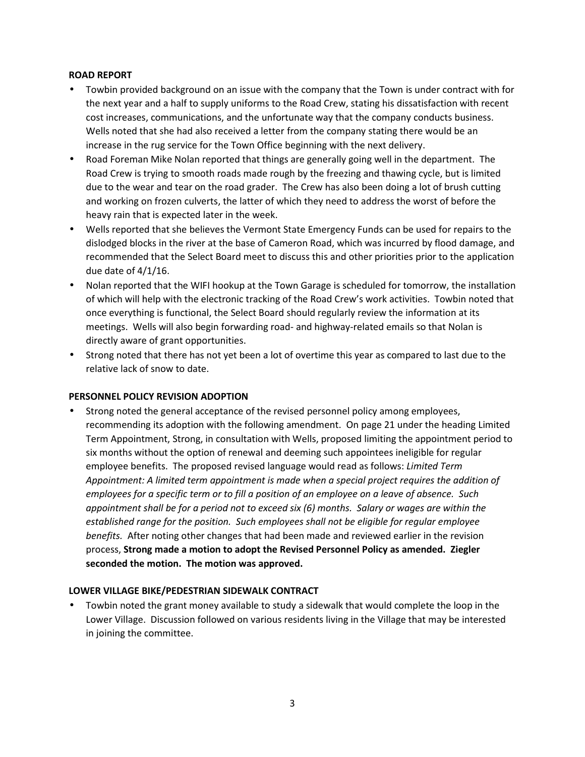## **ROAD REPORT**

- Towbin provided background on an issue with the company that the Town is under contract with for the next year and a half to supply uniforms to the Road Crew, stating his dissatisfaction with recent cost increases, communications, and the unfortunate way that the company conducts business. Wells noted that she had also received a letter from the company stating there would be an increase in the rug service for the Town Office beginning with the next delivery.
- Road Foreman Mike Nolan reported that things are generally going well in the department. The Road Crew is trying to smooth roads made rough by the freezing and thawing cycle, but is limited due to the wear and tear on the road grader. The Crew has also been doing a lot of brush cutting and working on frozen culverts, the latter of which they need to address the worst of before the heavy rain that is expected later in the week.
- Wells reported that she believes the Vermont State Emergency Funds can be used for repairs to the dislodged blocks in the river at the base of Cameron Road, which was incurred by flood damage, and recommended that the Select Board meet to discuss this and other priorities prior to the application due date of 4/1/16.
- Nolan reported that the WIFI hookup at the Town Garage is scheduled for tomorrow, the installation of which will help with the electronic tracking of the Road Crew's work activities. Towbin noted that once everything is functional, the Select Board should regularly review the information at its meetings. Wells will also begin forwarding road- and highway-related emails so that Nolan is directly aware of grant opportunities.
- Strong noted that there has not yet been a lot of overtime this year as compared to last due to the relative lack of snow to date.

## **PERSONNEL POLICY REVISION ADOPTION**

 Strong noted the general acceptance of the revised personnel policy among employees, recommending its adoption with the following amendment. On page 21 under the heading Limited Term Appointment, Strong, in consultation with Wells, proposed limiting the appointment period to six months without the option of renewal and deeming such appointees ineligible for regular employee benefits. The proposed revised language would read as follows: *Limited Term Appointment: A limited term appointment is made when a special project requires the addition of employees for a specific term or to fill a position of an employee on a leave of absence. Such appointment shall be for a period not to exceed six (6) months. Salary or wages are within the established range for the position. Such employees shall not be eligible for regular employee benefits.* After noting other changes that had been made and reviewed earlier in the revision process, **Strong made a motion to adopt the Revised Personnel Policy as amended. Ziegler seconded the motion. The motion was approved.**

## **LOWER VILLAGE BIKE/PEDESTRIAN SIDEWALK CONTRACT**

 Towbin noted the grant money available to study a sidewalk that would complete the loop in the Lower Village. Discussion followed on various residents living in the Village that may be interested in joining the committee.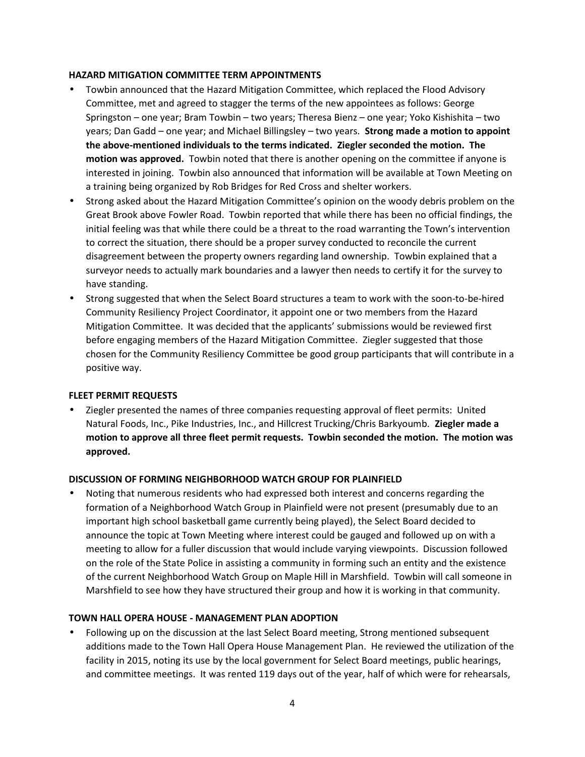## **HAZARD MITIGATION COMMITTEE TERM APPOINTMENTS**

- Towbin announced that the Hazard Mitigation Committee, which replaced the Flood Advisory Committee, met and agreed to stagger the terms of the new appointees as follows: George Springston – one year; Bram Towbin – two years; Theresa Bienz – one year; Yoko Kishishita – two years; Dan Gadd – one year; and Michael Billingsley – two years. **Strong made a motion to appoint the above-mentioned individuals to the terms indicated. Ziegler seconded the motion. The motion was approved.** Towbin noted that there is another opening on the committee if anyone is interested in joining. Towbin also announced that information will be available at Town Meeting on a training being organized by Rob Bridges for Red Cross and shelter workers.
- Strong asked about the Hazard Mitigation Committee's opinion on the woody debris problem on the Great Brook above Fowler Road. Towbin reported that while there has been no official findings, the initial feeling was that while there could be a threat to the road warranting the Town's intervention to correct the situation, there should be a proper survey conducted to reconcile the current disagreement between the property owners regarding land ownership. Towbin explained that a surveyor needs to actually mark boundaries and a lawyer then needs to certify it for the survey to have standing.
- Strong suggested that when the Select Board structures a team to work with the soon-to-be-hired Community Resiliency Project Coordinator, it appoint one or two members from the Hazard Mitigation Committee. It was decided that the applicants' submissions would be reviewed first before engaging members of the Hazard Mitigation Committee. Ziegler suggested that those chosen for the Community Resiliency Committee be good group participants that will contribute in a positive way.

## **FLEET PERMIT REQUESTS**

 Ziegler presented the names of three companies requesting approval of fleet permits: United Natural Foods, Inc., Pike Industries, Inc., and Hillcrest Trucking/Chris Barkyoumb. **Ziegler made a motion to approve all three fleet permit requests. Towbin seconded the motion. The motion was approved.**

## **DISCUSSION OF FORMING NEIGHBORHOOD WATCH GROUP FOR PLAINFIELD**

 Noting that numerous residents who had expressed both interest and concerns regarding the formation of a Neighborhood Watch Group in Plainfield were not present (presumably due to an important high school basketball game currently being played), the Select Board decided to announce the topic at Town Meeting where interest could be gauged and followed up on with a meeting to allow for a fuller discussion that would include varying viewpoints. Discussion followed on the role of the State Police in assisting a community in forming such an entity and the existence of the current Neighborhood Watch Group on Maple Hill in Marshfield. Towbin will call someone in Marshfield to see how they have structured their group and how it is working in that community.

## **TOWN HALL OPERA HOUSE - MANAGEMENT PLAN ADOPTION**

 Following up on the discussion at the last Select Board meeting, Strong mentioned subsequent additions made to the Town Hall Opera House Management Plan. He reviewed the utilization of the facility in 2015, noting its use by the local government for Select Board meetings, public hearings, and committee meetings. It was rented 119 days out of the year, half of which were for rehearsals,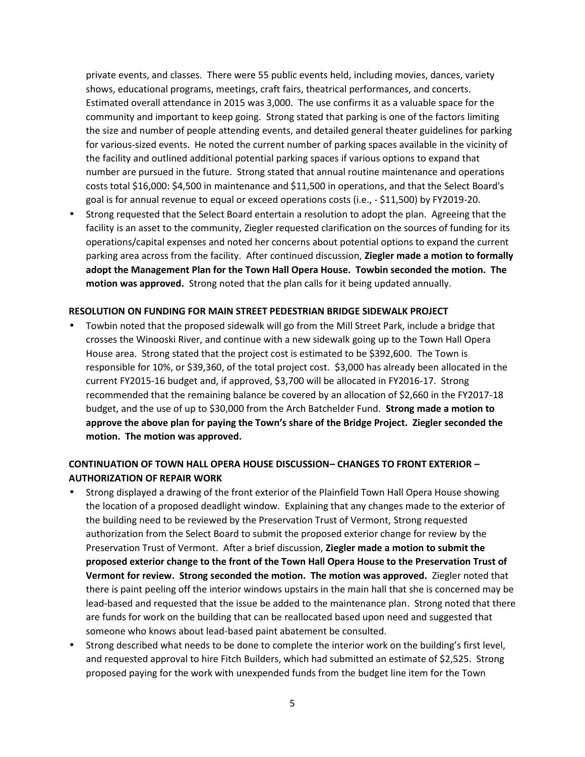private events, and classes. There were 55 public events held, including movies, dances, variety shows, educational programs, meetings, craft fairs, theatrical performances, and concerts. Estimated overall attendance in 2015 was 3,000. The use confirms it as a valuable space for the community and important to keep going. Strong stated that parking is one of the factors limiting the size and number of people attending events, and detailed general theater guidelines for parking for various-sized events. He noted the current number of parking spaces available in the vicinity of the facility and outlined additional potential parking spaces if various options to expand that number are pursued in the future. Strong stated that annual routine maintenance and operations costs total \$16,000: \$4,500 in maintenance and \$11,500 in operations, and that the Select Board's goal is for annual revenue to equal or exceed operations costs (i.e., - \$11,500) by FY2019-20.

 Strong requested that the Select Board entertain a resolution to adopt the plan. Agreeing that the facility is an asset to the community, Ziegler requested clarification on the sources of funding for its operations/capital expenses and noted her concerns about potential options to expand the current parking area across from the facility. After continued discussion, **Ziegler made a motion to formally adopt the Management Plan for the Town Hall Opera House. Towbin seconded the motion. The motion was approved.** Strong noted that the plan calls for it being updated annually.

#### **RESOLUTION ON FUNDING FOR MAIN STREET PEDESTRIAN BRIDGE SIDEWALK PROJECT**

 Towbin noted that the proposed sidewalk will go from the Mill Street Park, include a bridge that crosses the Winooski River, and continue with a new sidewalk going up to the Town Hall Opera House area. Strong stated that the project cost is estimated to be \$392,600. The Town is responsible for 10%, or \$39,360, of the total project cost. \$3,000 has already been allocated in the current FY2015-16 budget and, if approved, \$3,700 will be allocated in FY2016-17. Strong recommended that the remaining balance be covered by an allocation of \$2,660 in the FY2017-18 budget, and the use of up to \$30,000 from the Arch Batchelder Fund. **Strong made a motion to approve the above plan for paying the Town's share of the Bridge Project. Ziegler seconded the motion. The motion was approved.**

## **CONTINUATION OF TOWN HALL OPERA HOUSE DISCUSSION– CHANGES TO FRONT EXTERIOR – AUTHORIZATION OF REPAIR WORK**

- Strong displayed a drawing of the front exterior of the Plainfield Town Hall Opera House showing the location of a proposed deadlight window. Explaining that any changes made to the exterior of the building need to be reviewed by the Preservation Trust of Vermont, Strong requested authorization from the Select Board to submit the proposed exterior change for review by the Preservation Trust of Vermont. After a brief discussion, **Ziegler made a motion to submit the proposed exterior change to the front of the Town Hall Opera House to the Preservation Trust of Vermont for review. Strong seconded the motion. The motion was approved.** Ziegler noted that there is paint peeling off the interior windows upstairs in the main hall that she is concerned may be lead-based and requested that the issue be added to the maintenance plan. Strong noted that there are funds for work on the building that can be reallocated based upon need and suggested that someone who knows about lead-based paint abatement be consulted.
- Strong described what needs to be done to complete the interior work on the building's first level, and requested approval to hire Fitch Builders, which had submitted an estimate of \$2,525. Strong proposed paying for the work with unexpended funds from the budget line item for the Town